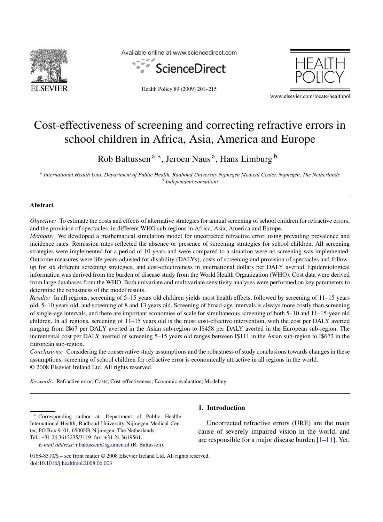

Available online at www.sciencedirect.com



Health Policy 89 (2009) 201–215



www.elsevier.com/locate/healthpol

# Cost-effectiveness of screening and correcting refractive errors in school children in Africa, Asia, America and Europe

Rob Baltussen<sup>a,∗</sup>, Jeroen Naus<sup>a</sup>, Hans Limburg <sup>b</sup>

<sup>a</sup> *International Health Unit, Department of Public Health, Radboud University Nijmegen Medical Center, Nijmegen, The Netherlands* <sup>b</sup> *Independent consultant*

#### **Abstract**

*Objective:* To estimate the costs and effects of alternative strategies for annual screening of school children for refractive errors, and the provision of spectacles, in different WHO sub-regions in Africa, Asia, America and Europe.

*Methods:* We developed a mathematical simulation model for uncorrected refractive error, using prevailing prevalence and incidence rates. Remission rates reflected the absence or presence of screening strategies for school children. All screening strategies were implemented for a period of 10 years and were compared to a situation were no screening was implemented. Outcome measures were life years adjusted for disability (DALYs), costs of screening and provision of spectacles and followup for six different screening strategies, and cost-effectiveness in international dollars per DALY averted. Epidemiological information was derived from the burden of disease study from the World Health Organization (WHO). Cost data were derived from large databases from the WHO. Both univariate and multivariate sensitivity analyses were performed on key parameters to determine the robustness of the model results.

*Results:* In all regions, screening of 5–15 years old children yields most health effects, followed by screening of 11–15 years old, 5–10 years old, and screening of 8 and 13 years old. Screening of broad-age intervals is always more costly than screening of single-age intervals, and there are important economies of scale for simultaneous screening of both 5–10 and 11–15-year-old children. In all regions, screening of 11–15 years old is the most cost-effective intervention, with the cost per DALY averted ranging from I\$67 per DALY averted in the Asian sub-region to I\$458 per DALY averted in the European sub-region. The incremental cost per DALY averted of screening 5–15 years old ranges between I\$111 in the Asian sub-region to I\$672 in the European sub-region.

*Conclusions:* Considering the conservative study assumptions and the robustness of study conclusions towards changes in these assumptions, screening of school children for refractive error is economically attractive in all regions in the world. © 2008 Elsevier Ireland Ltd. All rights reserved.

*Keywords:* Refractive error; Costs; Cost-effectiveness; Economic evaluation; Modeling

∗ Corresponding author at: Department of Public Health/ International Health, Radboud University Nijmegen Medical Center, PO Box 9101, 6500HB Nijmegen, The Netherlands.

Tel.: +31 24 3613235/3119; fax: +31 24 3619561.

## **1. Introduction**

Uncorrected refractive errors (URE) are the main cause of severely impaired vision in the world, and are responsible for a major disease burden [\[1–11\].](#page-13-0) Yet,

*E-mail address:* [r.baltussen@sg.umcn.nl](mailto:r.baltussen@sg.umcn.nl) (R. Baltussen).

<sup>0168-8510/\$ –</sup> see front matter © 2008 Elsevier Ireland Ltd. All rights reserved. doi:[10.1016/j.healthpol.2008.06.003](dx.doi.org/10.1016/j.healthpol.2008.06.003)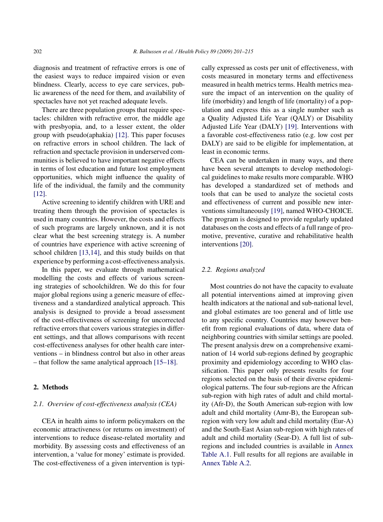diagnosis and treatment of refractive errors is one of the easiest ways to reduce impaired vision or even blindness. Clearly, access to eye care services, public awareness of the need for them, and availability of spectacles have not yet reached adequate levels.

There are three population groups that require spectacles: children with refractive error, the middle age with presbyopia, and, to a lesser extent, the older group with pseudo(aphakia) [\[12\].](#page-13-0) This paper focuses on refractive errors in school children. The lack of refraction and spectacle provision in underserved communities is believed to have important negative effects in terms of lost education and future lost employment opportunities, which might influence the quality of life of the individual, the family and the community [\[12\].](#page-13-0)

Active screening to identify children with URE and treating them through the provision of spectacles is used in many countries. However, the costs and effects of such programs are largely unknown, and it is not clear what the best screening strategy is. A number of countries have experience with active screening of school children [\[13,14\],](#page-13-0) and this study builds on that experience by performing a cost-effectiveness analysis.

In this paper, we evaluate through mathematical modelling the costs and effects of various screening strategies of schoolchildren. We do this for four major global regions using a generic measure of effectiveness and a standardized analytical approach. This analysis is designed to provide a broad assessment of the cost-effectiveness of screening for uncorrected refractive errors that covers various strategies in different settings, and that allows comparisons with recent cost-effectiveness analyses for other health care interventions – in blindness control but also in other areas – that follow the same analytical approach [\[15–18\].](#page-13-0)

## **2. Methods**

## *2.1. Overview of cost-effectiveness analysis (CEA)*

CEA in health aims to inform policymakers on the economic attractiveness (or returns on investment) of interventions to reduce disease-related mortality and morbidity. By assessing costs and effectiveness of an intervention, a 'value for money' estimate is provided. The cost-effectiveness of a given intervention is typically expressed as costs per unit of effectiveness, with costs measured in monetary terms and effectiveness measured in health metrics terms. Health metrics measure the impact of an intervention on the quality of life (morbidity) and length of life (mortality) of a population and express this as a single number such as a Quality Adjusted Life Year (QALY) or Disability Adjusted Life Year (DALY) [\[19\].](#page-13-0) Interventions with a favorable cost-effectiveness ratio (e.g. low cost per DALY) are said to be eligible for implementation, at least in economic terms.

CEA can be undertaken in many ways, and there have been several attempts to develop methodological guidelines to make results more comparable. WHO has developed a standardized set of methods and tools that can be used to analyze the societal costs and effectiveness of current and possible new interventions simultaneously [\[19\], n](#page-13-0)amed WHO-CHOICE. The program is designed to provide regularly updated databases on the costs and effects of a full range of promotive, preventive, curative and rehabilitative health interventions [\[20\].](#page-13-0)

## *2.2. Regions analyzed*

Most countries do not have the capacity to evaluate all potential interventions aimed at improving given health indicators at the national and sub-national level, and global estimates are too general and of little use to any specific country. Countries may however benefit from regional evaluations of data, where data of neighboring countries with similar settings are pooled. The present analysis drew on a comprehensive examination of 14 world sub-regions defined by geographic proximity and epidemiology according to WHO classification. This paper only presents results for four regions selected on the basis of their diverse epidemiological patterns. The four sub-regions are the African sub-region with high rates of adult and child mortality (Afr-D), the South American sub-region with low adult and child mortality (Amr-B), the European subregion with very low adult and child mortality (Eur-A) and the South-East Asian sub-region with high rates of adult and child mortality (Sear-D). A full list of subregions and included countries is available in [Annex](#page-10-0) [Table A.1.](#page-10-0) Full results for all regions are available in [Annex Table A.2.](#page-10-0)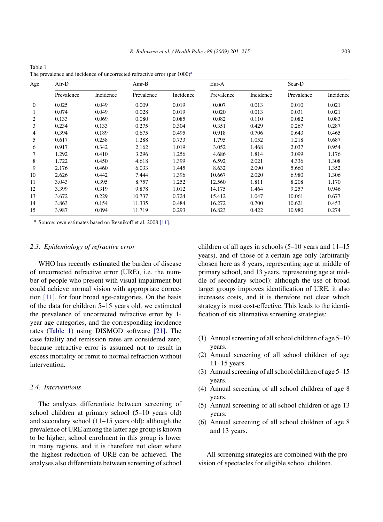| Age      | Afr-D      |           | $Amr-B$    |           | Eur-A      |           | Sear-D     |           |
|----------|------------|-----------|------------|-----------|------------|-----------|------------|-----------|
|          | Prevalence | Incidence | Prevalence | Incidence | Prevalence | Incidence | Prevalence | Incidence |
| $\theta$ | 0.025      | 0.049     | 0.009      | 0.019     | 0.007      | 0.013     | 0.010      | 0.021     |
| 1        | 0.074      | 0.049     | 0.028      | 0.019     | 0.020      | 0.013     | 0.031      | 0.021     |
| 2        | 0.133      | 0.069     | 0.080      | 0.085     | 0.082      | 0.110     | 0.082      | 0.083     |
| 3        | 0.234      | 0.133     | 0.275      | 0.304     | 0.351      | 0.429     | 0.267      | 0.287     |
| 4        | 0.394      | 0.189     | 0.675      | 0.495     | 0.918      | 0.706     | 0.643      | 0.465     |
| 5        | 0.617      | 0.258     | 1.288      | 0.733     | 1.795      | 1.052     | 1.218      | 0.687     |
| 6        | 0.917      | 0.342     | 2.162      | 1.019     | 3.052      | 1.468     | 2.037      | 0.954     |
| 7        | 1.292      | 0.410     | 3.296      | 1.256     | 4.686      | 1.814     | 3.099      | 1.176     |
| 8        | 1.722      | 0.450     | 4.618      | 1.399     | 6.592      | 2.021     | 4.336      | 1.308     |
| 9        | 2.176      | 0.460     | 6.033      | 1.445     | 8.632      | 2.090     | 5.660      | 1.352     |
| 10       | 2.626      | 0.442     | 7.444      | 1.396     | 10.667     | 2.020     | 6.980      | 1.306     |
| 11       | 3.043      | 0.395     | 8.757      | 1.252     | 12.560     | 1.811     | 8.208      | 1.170     |
| 12       | 3.399      | 0.319     | 9.878      | 1.012     | 14.175     | 1.464     | 9.257      | 0.946     |
| 13       | 3.672      | 0.229     | 10.737     | 0.724     | 15.412     | 1.047     | 10.061     | 0.677     |
| 14       | 3.863      | 0.154     | 11.335     | 0.484     | 16.272     | 0.700     | 10.621     | 0.453     |

15 3.987 0.094 11.719 0.293 16.823 0.422 10.980 0.274

The prevalence and incidence of uncorrected refractive error (per 1000)<sup>a</sup>

Table 1

<sup>a</sup> Source: own estimates based on Resnikoff et al. 2008 [\[11\].](#page-13-0)

#### *2.3. Epidemiology of refractive error*

WHO has recently estimated the burden of disease of uncorrected refractive error (URE), i.e. the number of people who present with visual impairment but could achieve normal vision with appropriate correction [\[11\],](#page-13-0) for four broad age-categories. On the basis of the data for children 5–15 years old, we estimated the prevalence of uncorrected refractive error by 1 year age categories, and the corresponding incidence rates (Table 1) using DISMOD software [\[21\].](#page-13-0) The case fatality and remission rates are considered zero, because refractive error is assumed not to result in excess mortality or remit to normal refraction without intervention.

## *2.4. Interventions*

The analyses differentiate between screening of school children at primary school (5–10 years old) and secondary school (11–15 years old): although the prevalence of URE among the latter age group is known to be higher, school enrolment in this group is lower in many regions, and it is therefore not clear where the highest reduction of URE can be achieved. The analyses also differentiate between screening of school children of all ages in schools (5–10 years and 11–15 years), and of those of a certain age only (arbitrarily chosen here as 8 years, representing age at middle of primary school, and 13 years, representing age at middle of secondary school): although the use of broad target groups improves identification of URE, it also increases costs, and it is therefore not clear which strategy is most cost-effective. This leads to the identification of six alternative screening strategies:

- (1) Annual screening of all school children of age 5–10 years.
- (2) Annual screening of all school children of age 11–15 years.
- (3) Annual screening of all school children of age 5–15 years.
- (4) Annual screening of all school children of age 8 years.
- (5) Annual screening of all school children of age 13 years.
- (6) Annual screening of all school children of age 8 and 13 years.

All screening strategies are combined with the provision of spectacles for eligible school children.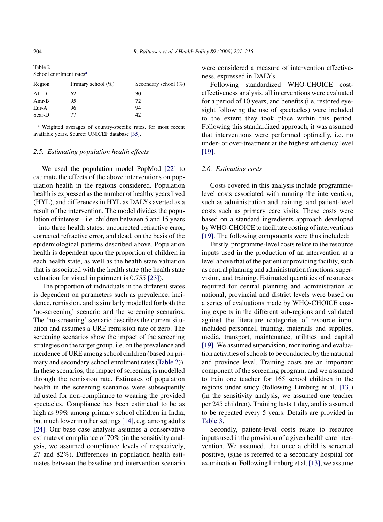| Table 2 |                                     |      |
|---------|-------------------------------------|------|
|         | School enrolment rates <sup>a</sup> |      |
| Region  | Primary school $(\% )$              | Seco |

| Region  | Primary school $(\%)$ | Secondary school (%) |
|---------|-----------------------|----------------------|
| Afr-D   | 62                    | 30                   |
| $Amr-B$ | 95                    | 72                   |
| $Eur-A$ | 96                    | 94                   |
| Sear-D  | 77                    | 42                   |

<sup>a</sup> Weighted averages of country-specific rates, for most recent available years. Source: UNICEF database [\[35\].](#page-14-0)

## *2.5. Estimating population health effects*

We used the population model PopMod [\[22\]](#page-14-0) to estimate the effects of the above interventions on population health in the regions considered. Population health is expressed as the number of healthy years lived (HYL), and differences in HYL as DALYs averted as a result of the intervention. The model divides the population of interest – i.e. children between 5 and 15 years – into three health states: uncorrected refractive error, corrected refractive error, and dead, on the basis of the epidemiological patterns described above. Population health is dependent upon the proportion of children in each health state, as well as the health state valuation that is associated with the health state (the health state valuation for visual impairment is 0.755 [\[23\]\).](#page-14-0)

The proportion of individuals in the different states is dependent on parameters such as prevalence, incidence, remission, and is similarly modelled for both the 'no-screening' scenario and the screening scenarios. The 'no-screening' scenario describes the current situation and assumes a URE remission rate of zero. The screening scenarios show the impact of the screening strategies on the target group, i.e. on the prevalence and incidence of URE among school children (based on primary and secondary school enrolment rates (Table 2)). In these scenarios, the impact of screening is modelled through the remission rate. Estimates of population health in the screening scenarios were subsequently adjusted for non-compliance to wearing the provided spectacles. Compliance has been estimated to be as high as 99% among primary school children in India, but much lower in other settings [\[14\], e](#page-13-0).g. among adults [\[24\].](#page-14-0) Our base case analysis assumes a conservative estimate of compliance of 70% (in the sensitivity analysis, we assumed compliance levels of respectively, 27 and 82%). Differences in population health estimates between the baseline and intervention scenario were considered a measure of intervention effectiveness, expressed in DALYs.

Following standardized WHO-CHOICE costeffectiveness analysis, all interventions were evaluated for a period of 10 years, and benefits (i.e. restored eyesight following the use of spectacles) were included to the extent they took place within this period. Following this standardized approach, it was assumed that interventions were performed optimally, i.e. no under- or over-treatment at the highest efficiency level [\[19\].](#page-13-0)

#### *2.6. Estimating costs*

Costs covered in this analysis include programmelevel costs associated with running the intervention, such as administration and training, and patient-level costs such as primary care visits. These costs were based on a standard ingredients approach developed by WHO-CHOICE to facilitate costing of interventions [\[19\].](#page-13-0) The following components were thus included:

Firstly, programme-level costs relate to the resource inputs used in the production of an intervention at a level above that of the patient or providing facility, such as central planning and administration functions, supervision, and training. Estimated quantities of resources required for central planning and administration at national, provincial and district levels were based on a series of evaluations made by WHO-CHOICE costing experts in the different sub-regions and validated against the literature (categories of resource input included personnel, training, materials and supplies, media, transport, maintenance, utilities and capital [\[19\]. W](#page-13-0)e assumed supervision, monitoring and evaluation activities of schools to be conducted by the national and province level. Training costs are an important component of the screening program, and we assumed to train one teacher for 165 school children in the regions under study (following Limburg et al. [\[13\]\)](#page-13-0) (in the sensitivity analysis, we assumed one teacher per 245 children). Training lasts 1 day, and is assumed to be repeated every 5 years. Details are provided in [Table 3.](#page-4-0)

Secondly, patient-level costs relate to resource inputs used in the provision of a given health care intervention. We assumed, that once a child is screened positive, (s)he is referred to a secondary hospital for examination. Following Limburg et al. [\[13\], w](#page-13-0)e assume

 $\equiv$  22.  $\equiv$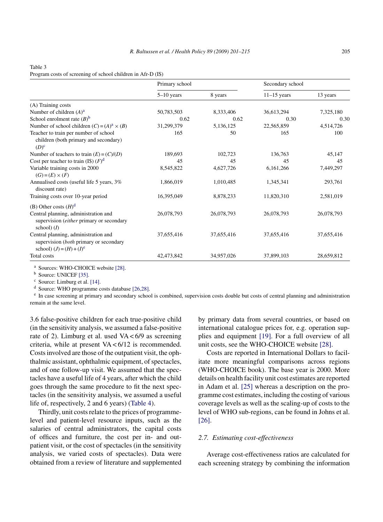#### <span id="page-4-0"></span>Table 3

Program costs of screening of school children in Afr-D (I\$)

|                                                                                                               | Primary school |            | Secondary school |            |
|---------------------------------------------------------------------------------------------------------------|----------------|------------|------------------|------------|
|                                                                                                               | $5-10$ years   | 8 years    | $11-15$ years    | 13 years   |
| (A) Training costs                                                                                            |                |            |                  |            |
| Number of children $(A)^a$                                                                                    | 50,783,503     | 8,333,406  | 36,613,294       | 7,325,180  |
| School enrolment rate $(B)^b$                                                                                 | 0.62           | 0.62       | 0.30             | 0.30       |
| Number of school children $(C) = (A)^a \times (B)$                                                            | 31,299,379     | 5,136,125  | 22,565,859       | 4,514,726  |
| Teacher to train per number of school<br>children (both primary and secondary)<br>$(D)^c$                     | 165            | 50         | 165              | 100        |
| Number of teachers to train $(E) = (C)/(D)$                                                                   | 189,693        | 102,723    | 136,763          | 45,147     |
| Cost per teacher to train (I\$) $(F)^d$                                                                       | 45             | 45         | 45               | 45         |
| Variable training costs in 2000<br>$(G) = (E) \times (F)$                                                     | 8,545,822      | 4,627,726  | 6,161,266        | 7,449,297  |
| Annualised costs (useful life 5 years, 3%<br>discount rate)                                                   | 1,866,019      | 1,010,485  | 1,345,341        | 293,761    |
| Training costs over 10-year period                                                                            | 16,395,049     | 8,878,233  | 11,820,310       | 2,581,019  |
| (B) Other costs $(H)^d$                                                                                       |                |            |                  |            |
| Central planning, administration and<br>supervision (either primary or secondary<br>school) $(I)$             | 26,078,793     | 26,078,793 | 26,078,793       | 26,078,793 |
| Central planning, administration and<br>supervision (both primary or secondary<br>school) $(J) = (H) + (I)^e$ | 37,655,416     | 37,655,416 | 37,655,416       | 37,655,416 |
| Total costs                                                                                                   | 42,473,842     | 34,957,026 | 37,899,103       | 28,659,812 |

<sup>a</sup> Sources: WHO-CHOICE website [\[28\].](#page-14-0)

**b** Source: UNICEF [\[35\].](#page-14-0)

<sup>c</sup> Source: Limburg et al. [\[14\].](#page-13-0)

<sup>d</sup> Source: WHO programme costs database [\[26,28\].](#page-14-0)

<sup>e</sup> In case screening at primary and secondary school is combined, supervision costs double but costs of central planning and administration remain at the same level.

3.6 false-positive children for each true-positive child (in the sensitivity analysis, we assumed a false-positive rate of 2). Limburg et al. used  $VA < 6/9$  as screening criteria, while at present VA < 6/12 is recommended. Costs involved are those of the outpatient visit, the ophthalmic assistant, ophthalmic equipment, of spectacles, and of one follow-up visit. We assumed that the spectacles have a useful life of 4 years, after which the child goes through the same procedure to fit the next spectacles (in the sensitivity analysis, we assumed a useful life of, respectively, 2 and 6 years) ([Table 4\).](#page-5-0)

Thirdly, unit costs relate to the prices of programmelevel and patient-level resource inputs, such as the salaries of central administrators, the capital costs of offices and furniture, the cost per in- and outpatient visit, or the cost of spectacles (in the sensitivity analysis, we varied costs of spectacles). Data were obtained from a review of literature and supplemented by primary data from several countries, or based on international catalogue prices for, e.g. operation supplies and equipment [\[19\].](#page-13-0) For a full overview of all unit costs, see the WHO-CHOICE website [\[28\].](#page-14-0)

Costs are reported in International Dollars to facilitate more meaningful comparisons across regions (WHO-CHOICE book). The base year is 2000. More details on health facility unit cost estimates are reported in Adam et al. [\[25\]](#page-14-0) whereas a description on the programme cost estimates, including the costing of various coverage levels as well as the scaling-up of costs to the level of WHO sub-regions, can be found in Johns et al. [\[26\].](#page-14-0)

### *2.7. Estimating cost-effectiveness*

Average cost-effectiveness ratios are calculated for each screening strategy by combining the information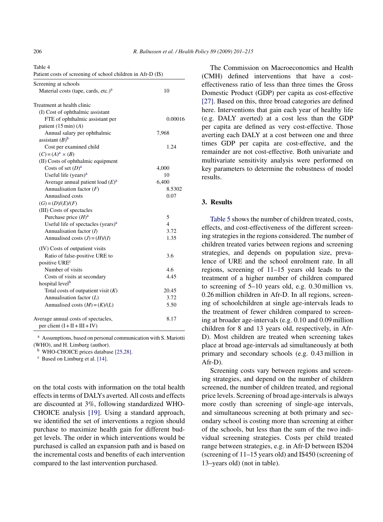#### <span id="page-5-0"></span>Table 4

Patient costs of screening of school children in Afr-D (I\$)

| Screening at schools                              |                |
|---------------------------------------------------|----------------|
| Material costs (tape, cards, etc.) <sup>a</sup>   | 10             |
| Treatment at health clinic                        |                |
| (I) Cost of ophthalmic assistant                  |                |
| FTE of ophthalmic assistant per                   | 0.00016        |
| patient $(15 \text{ min})$ $(A)$                  |                |
| Annual salary per ophthalmic<br>assistant $(B)^b$ | 7,968          |
| Cost per examined child                           | 1.24           |
| $(C) = (A)^a \times (B)$                          |                |
| (II) Costs of ophthalmic equipment                |                |
| Costs of set $(D)^a$                              | 4,000          |
| Useful life (years) $a$                           | 10             |
| Average annual patient load $(E)^a$               | 6,400          |
| Annualisation factor $(F)$                        | 8.5302         |
| Annualised costs                                  | 0.07           |
| $(G) = (D)/(E)/(F)$                               |                |
| (III) Costs of spectacles                         |                |
| Purchase price $(H)^a$                            | 5              |
| Useful life of spectacles (years) <sup>a</sup>    | $\overline{4}$ |
| Annualisation factor $(I)$                        | 3.72           |
| Annualised costs $(J) = (H)/(I)$                  | 1.35           |
| (IV) Costs of outpatient visits                   |                |
| Ratio of false-positive URE to                    | 3.6            |
| positive URE <sup>c</sup>                         |                |
| Number of visits                                  | 4.6            |
| Costs of visits at secondary                      | 4.45           |
| hospital level <sup>b</sup>                       |                |
| Total costs of outpatient visit $(K)$             | 20.45          |
| Annualisation factor $(L)$                        | 3.72           |
| Annualised costs $(M) = (K)/(L)$                  | 5.50           |
| Average annual costs of spectacles,               | 8.17           |
| per client $(I + II + III + IV)$                  |                |

<sup>a</sup> Assumptions, based on personal communication with S. Mariotti (WHO), and H. Limburg (author).

<sup>b</sup> WHO-CHOICE prices database [\[25,28\].](#page-14-0)

<sup>c</sup> Based on Limburg et al. [\[14\].](#page-13-0)

on the total costs with information on the total health effects in terms of DALYs averted. All costs and effects are discounted at 3%, following standardized WHO-CHOICE analysis [\[19\].](#page-13-0) Using a standard approach, we identified the set of interventions a region should purchase to maximize health gain for different budget levels. The order in which interventions would be purchased is called an expansion path and is based on the incremental costs and benefits of each intervention compared to the last intervention purchased.

The Commission on Macroeconomics and Health (CMH) defined interventions that have a costeffectiveness ratio of less than three times the Gross Domestic Product (GDP) per capita as cost-effective [\[27\].](#page-14-0) Based on this, three broad categories are defined here. Interventions that gain each year of healthy life (e.g. DALY averted) at a cost less than the GDP per capita are defined as very cost-effective. Those averting each DALY at a cost between one and three times GDP per capita are cost-effective, and the remainder are not cost-effective. Both univariate and multivariate sensitivity analysis were performed on key parameters to determine the robustness of model results.

## **3. Results**

[Table 5](#page-6-0) shows the number of children treated, costs, effects, and cost-effectiveness of the different screening strategies in the regions considered. The number of children treated varies between regions and screening strategies, and depends on population size, prevalence of URE and the school enrolment rate. In all regions, screening of 11–15 years old leads to the treatment of a higher number of children compared to screening of 5–10 years old, e.g. 0.30 million vs. 0.26 million children in Afr-D. In all regions, screening of schoolchildren at single age-intervals leads to the treatment of fewer children compared to screening at broader age-intervals (e.g. 0.10 and 0.09 million children for 8 and 13 years old, respectively, in Afr-D). Most children are treated when screening takes place at broad age-intervals ad simultaneously at both primary and secondary schools (e.g. 0.43 million in Afr-D).

Screening costs vary between regions and screening strategies, and depend on the number of children screened, the number of children treated, and regional price levels. Screening of broad age-intervals is always more costly than screening of single-age intervals, and simultaneous screening at both primary and secondary school is costing more than screening at either of the schools, but less than the sum of the two individual screening strategies. Costs per child treated range between strategies, e.g. in Afr-D between I\$204 (screening of 11–15 years old) and I\$450 (screening of 13–years old) (not in table).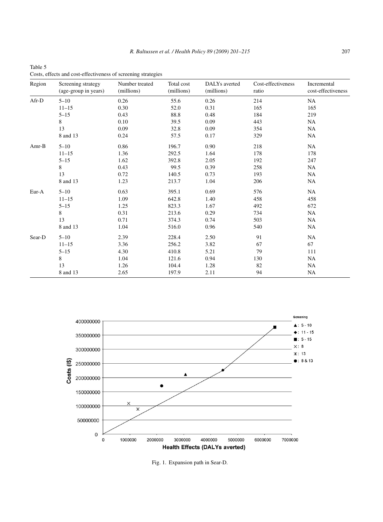<span id="page-6-0"></span>Table 5 Costs, effects and cost-effectiveness of screening strategies

| Region  | Screening strategy<br>(age-group in years) | Number treated<br>(millions) | Total cost<br>(millions) | DALYs averted<br>(millions) | Cost-effectiveness<br>ratio | Incremental<br>cost-effectiveness |
|---------|--------------------------------------------|------------------------------|--------------------------|-----------------------------|-----------------------------|-----------------------------------|
| Afr-D   | $5 - 10$                                   | 0.26                         | 55.6                     | 0.26                        | 214                         | <b>NA</b>                         |
|         | $11 - 15$                                  | 0.30                         | 52.0                     | 0.31                        | 165                         | 165                               |
|         | $5 - 15$                                   | 0.43                         | 88.8                     | 0.48                        | 184                         | 219                               |
|         | 8                                          | 0.10                         | 39.5                     | 0.09                        | 443                         | <b>NA</b>                         |
|         | 13                                         | 0.09                         | 32.8                     | 0.09                        | 354                         | <b>NA</b>                         |
|         | 8 and 13                                   | 0.24                         | 57.5                     | 0.17                        | 329                         | NA                                |
| $Amr-B$ | $5 - 10$                                   | 0.86                         | 196.7                    | 0.90                        | 218                         | <b>NA</b>                         |
|         | $11 - 15$                                  | 1.36                         | 292.5                    | 1.64                        | 178                         | 178                               |
|         | $5 - 15$                                   | 1.62                         | 392.8                    | 2.05                        | 192                         | 247                               |
|         | 8                                          | 0.43                         | 99.5                     | 0.39                        | 258                         | <b>NA</b>                         |
|         | 13                                         | 0.72                         | 140.5                    | 0.73                        | 193                         | <b>NA</b>                         |
|         | 8 and 13                                   | 1.23                         | 213.7                    | 1.04                        | 206                         | NA                                |
| Eur-A   | $5 - 10$                                   | 0.63                         | 395.1                    | 0.69                        | 576                         | NA                                |
|         | $11 - 15$                                  | 1.09                         | 642.8                    | 1.40                        | 458                         | 458                               |
|         | $5 - 15$                                   | 1.25                         | 823.3                    | 1.67                        | 492                         | 672                               |
|         | 8                                          | 0.31                         | 213.6                    | 0.29                        | 734                         | <b>NA</b>                         |
|         | 13                                         | 0.71                         | 374.3                    | 0.74                        | 503                         | <b>NA</b>                         |
|         | 8 and 13                                   | 1.04                         | 516.0                    | 0.96                        | 540                         | <b>NA</b>                         |
| Sear-D  | $5 - 10$                                   | 2.39                         | 228.4                    | 2.50                        | 91                          | <b>NA</b>                         |
|         | $11 - 15$                                  | 3.36                         | 256.2                    | 3.82                        | 67                          | 67                                |
|         | $5 - 15$                                   | 4.30                         | 410.8                    | 5.21                        | 79                          | 111                               |
|         | 8                                          | 1.04                         | 121.6                    | 0.94                        | 130                         | <b>NA</b>                         |
|         | 13                                         | 1.26                         | 104.4                    | 1.28                        | 82                          | <b>NA</b>                         |
|         | 8 and 13                                   | 2.65                         | 197.9                    | 2.11                        | 94                          | NA                                |



Fig. 1. Expansion path in Sear-D.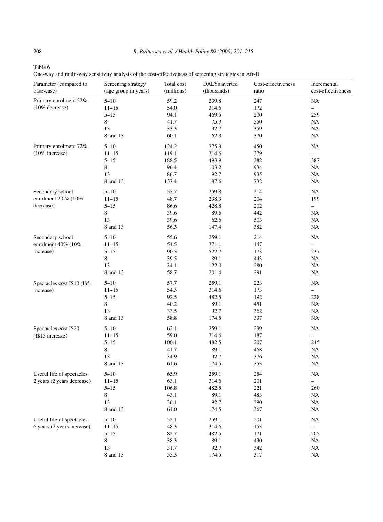<span id="page-7-0"></span>

| ۰. | ×<br>۰, |
|----|---------|

Table 6

One-way and multi-way sensitivity analysis of the cost-effectiveness of screening strategies in Afr-D

| Parameter (compared to<br>base-case) | Screening strategy<br>(age group in years) | Total cost<br>(millions) | DALYs averted<br>(thousands) | Cost-effectiveness<br>ratio | Incremental<br>cost-effectiveness |
|--------------------------------------|--------------------------------------------|--------------------------|------------------------------|-----------------------------|-----------------------------------|
| Primary enrolment 52%                | $5 - 10$                                   | 59.2                     | 239.8                        | 247                         | <b>NA</b>                         |
| (10% decrease)                       | $11 - 15$                                  | 54.0                     | 314.6                        | 172                         | $\overline{\phantom{0}}$          |
|                                      | $5 - 15$                                   | 94.1                     | 469.5                        | 200                         | 259                               |
|                                      | 8                                          | 41.7                     | 75.9                         | 550                         | NA                                |
|                                      | 13                                         | 33.3                     | 92.7                         | 359                         | NA                                |
|                                      | 8 and 13                                   | 60.1                     | 162.3                        | 370                         | NA                                |
| Primary enrolment 72%                | $5 - 10$                                   | 124.2                    | 275.9                        | 450                         | NA                                |
| $(10\% \text{ increase})$            | $11 - 15$                                  | 119.1                    | 314.6                        | 379                         | $\overline{\phantom{a}}$          |
|                                      | $5 - 15$                                   | 188.5                    | 493.9                        | 382                         | 387                               |
|                                      | 8                                          | 96.4                     | 103.2                        | 934                         | NA                                |
|                                      | 13                                         | 86.7                     | 92.7                         | 935                         | NA                                |
|                                      | 8 and 13                                   | 137.4                    | 187.6                        | 732                         | <b>NA</b>                         |
| Secondary school                     | $5 - 10$                                   | 55.7                     | 259.8                        | 214                         | NA                                |
| enrolment 20 % (10%                  | $11 - 15$                                  | 48.7                     | 238.3                        | 204                         | 199                               |
| decrease)                            | $5 - 15$                                   | 86.6                     | 428.8                        | 202                         | $\qquad \qquad -$                 |
|                                      | 8                                          | 39.6                     | 89.6                         | 442                         | NA                                |
|                                      | 13                                         | 39.6                     | 62.6                         | 503                         | NA                                |
|                                      | 8 and 13                                   | 56.3                     | 147.4                        | 382                         | NA                                |
| Secondary school                     | $5 - 10$                                   | 55.6                     | 259.1                        | 214                         | NA                                |
| enrolment 40% (10%                   | $11 - 15$                                  | 54.5                     | 371.1                        | 147                         | $\overline{\phantom{0}}$          |
| increase)                            | $5 - 15$                                   | 90.5                     | 522.7                        | 173                         | 237                               |
|                                      | 8                                          | 39.5                     | 89.1                         | 443                         | NA                                |
|                                      | 13                                         | 34.1                     | 122.0                        | 280                         | NA                                |
|                                      | 8 and 13                                   | 58.7                     | 201.4                        | 291                         | NA                                |
| Spectacles cost I\$10 (I\$5          | $5 - 10$                                   | 57.7                     | 259.1                        | 223                         | NA                                |
| increase)                            | $11 - 15$                                  | 54.3                     | 314.6                        | 173                         |                                   |
|                                      | $5 - 15$                                   | 92.5                     | 482.5                        | 192                         | 228                               |
|                                      | 8                                          | 40.2                     | 89.1                         | 451                         | NA                                |
|                                      | 13                                         | 33.5                     | 92.7                         | 362                         | NA                                |
|                                      | 8 and 13                                   | 58.8                     | 174.5                        | 337                         | NA                                |
| Spectacles cost I\$20                | $5 - 10$                                   | 62.1                     | 259.1                        | 239                         | NA                                |
|                                      | $11 - 15$                                  | 59.0                     | 314.6                        | 187                         | $\overline{\phantom{0}}$          |
| (I\$15 increase)                     | $5 - 15$                                   | 100.1                    | 482.5                        | 207                         | 245                               |
|                                      | 8                                          |                          | 89.1                         | 468                         |                                   |
|                                      | 13                                         | 41.7<br>34.9             | 92.7                         | 376                         | NA<br>NA                          |
|                                      | 8 and 13                                   | 61.6                     | 174.5                        | 353                         | NA                                |
| Useful life of spectacles            | $5 - 10$                                   | 65.9                     | 259.1                        | 254                         | NA                                |
| 2 years (2 years decrease)           | $11 - 15$                                  | 63.1                     | 314.6                        | 201                         |                                   |
|                                      | $5 - 15$                                   | 106.8                    | 482.5                        | 221                         | 260                               |
|                                      | $8\,$                                      |                          |                              |                             |                                   |
|                                      |                                            | 43.1                     | 89.1                         | 483                         | NA                                |
|                                      | 13<br>8 and 13                             | 36.1<br>64.0             | 92.7<br>174.5                | 390<br>367                  | <b>NA</b><br>NA                   |
|                                      |                                            |                          |                              |                             |                                   |
| Useful life of spectacles            | $5 - 10$                                   | 52.1                     | 259.1                        | 201                         | $\rm NA$                          |
| 6 years (2 years increase)           | $11 - 15$                                  | 48.3                     | 314.6                        | 153                         | $\overline{\phantom{a}}$          |
|                                      | $5 - 15$                                   | 82.7                     | 482.5                        | 171                         | 205                               |
|                                      | 8                                          | 38.3                     | 89.1                         | 430                         | NA                                |
|                                      | 13                                         | 31.7                     | 92.7                         | 342                         | NA                                |
|                                      | 8 and 13                                   | 55.3                     | 174.5                        | 317                         | <b>NA</b>                         |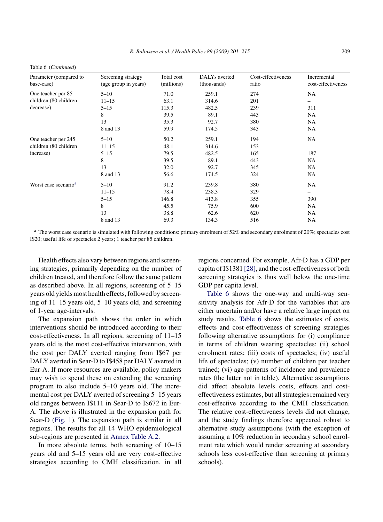#### Table 6 (*Continued*)

| Parameter (compared to<br>base-case) | Screening strategy<br>(age group in years) | Total cost<br>(millions) | DALYs averted<br>(thousands) | Cost-effectiveness<br>ratio | Incremental<br>cost-effectiveness |
|--------------------------------------|--------------------------------------------|--------------------------|------------------------------|-----------------------------|-----------------------------------|
| One teacher per 85                   | $5 - 10$                                   | 71.0                     | 259.1                        | 274                         | <b>NA</b>                         |
| children (80 children                | $11 - 15$                                  | 63.1                     | 314.6                        | 201                         | -                                 |
| decrease)                            | $5 - 15$                                   | 115.3                    | 482.5                        | 239                         | 311                               |
|                                      | 8                                          | 39.5                     | 89.1                         | 443                         | NA                                |
|                                      | 13                                         | 35.3                     | 92.7                         | 380                         | <b>NA</b>                         |
|                                      | 8 and 13                                   | 59.9                     | 174.5                        | 343                         | NA                                |
| One teacher per 245                  | $5 - 10$                                   | 50.2                     | 259.1                        | 194                         | <b>NA</b>                         |
| children (80 children                | $11 - 15$                                  | 48.1                     | 314.6                        | 153                         |                                   |
| increase)                            | $5 - 15$                                   | 79.5                     | 482.5                        | 165                         | 187                               |
|                                      | 8                                          | 39.5                     | 89.1                         | 443                         | NA                                |
|                                      | 13                                         | 32.0                     | 92.7                         | 345                         | NA                                |
|                                      | 8 and 13                                   | 56.6                     | 174.5                        | 324                         | NA                                |
| Worst case scenario <sup>a</sup>     | $5 - 10$                                   | 91.2                     | 239.8                        | 380                         | NA                                |
|                                      | $11 - 15$                                  | 78.4                     | 238.3                        | 329                         |                                   |
|                                      | $5 - 15$                                   | 146.8                    | 413.8                        | 355                         | 390                               |
|                                      | 8                                          | 45.5                     | 75.9                         | 600                         | NA                                |
|                                      | 13                                         | 38.8                     | 62.6                         | 620                         | NA                                |
|                                      | 8 and 13                                   | 69.3                     | 134.3                        | 516                         | NA                                |

<sup>a</sup> The worst case scenario is simulated with following conditions: primary enrolment of 52% and secondary enrolment of 20%; spectacles cost I\$20; useful life of spectacles 2 years; 1 teacher per 85 children.

Health effects also vary between regions and screening strategies, primarily depending on the number of children treated, and therefore follow the same pattern as described above. In all regions, screening of 5–15 years old yields most health effects, followed by screening of 11–15 years old, 5–10 years old, and screening of 1-year age-intervals.

The expansion path shows the order in which interventions should be introduced according to their cost-effectiveness. In all regions, screening of 11–15 years old is the most cost-effective intervention, with the cost per DALY averted ranging from I\$67 per DALY averted in Sear-D to I\$458 per DALY averted in Eur-A. If more resources are available, policy makers may wish to spend these on extending the screening program to also include 5–10 years old. The incremental cost per DALY averted of screening 5–15 years old ranges between I\$111 in Sear-D to I\$672 in Eur-A. The above is illustrated in the expansion path for Sear-D ([Fig. 1\).](#page-6-0) The expansion path is similar in all regions. The results for all 14 WHO epidemiological sub-regions are presented in [Annex Table A.2.](#page-10-0)

In more absolute terms, both screening of 10–15 years old and 5–15 years old are very cost-effective strategies according to CMH classification, in all regions concerned. For example, Afr-D has a GDP per capita of I\$1381 [\[28\], a](#page-14-0)nd the cost-effectiveness of both screening strategies is thus well below the one-time GDP per capita level.

[Table 6](#page-7-0) shows the one-way and multi-way sensitivity analysis for Afr-D for the variables that are either uncertain and/or have a relative large impact on study results. [Table 6](#page-7-0) shows the estimates of costs, effects and cost-effectiveness of screening strategies following alternative assumptions for (i) compliance in terms of children wearing spectacles; (ii) school enrolment rates; (iii) costs of spectacles; (iv) useful life of spectacles; (v) number of children per teacher trained; (vi) age-patterns of incidence and prevalence rates (the latter not in table). Alternative assumptions did affect absolute levels costs, effects and costeffectiveness estimates, but all strategies remained very cost-effective according to the CMH classification. The relative cost-effectiveness levels did not change, and the study findings therefore appeared robust to alternative study assumptions (with the exception of assuming a 10% reduction in secondary school enrolment rate which would render screening at secondary schools less cost-effective than screening at primary schools).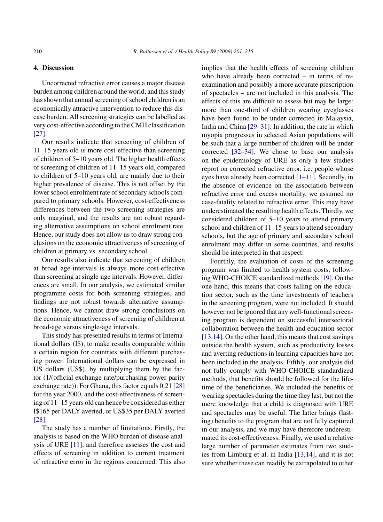## **4. Discussion**

Uncorrected refractive error causes a major disease burden among children around the world, and this study has shown that annual screening of school children is an economically attractive intervention to reduce this disease burden. All screening strategies can be labelled as very cost-effective according to the CMH classification [\[27\].](#page-14-0)

Our results indicate that screening of children of 11–15 years old is more cost-effective than screening of children of 5–10 years old. The higher health effects of screening of children of 11–15 years old, compared to children of 5–10 years old, are mainly due to their higher prevalence of disease. This is not offset by the lower school enrolment rate of secondary schools compared to primary schools. However, cost-effectiveness differences between the two screening strategies are only marginal, and the results are not robust regarding alternative assumptions on school enrolment rate. Hence, our study does not allow us to draw strong conclusions on the economic attractiveness of screening of children at primary vs. secondary school.

Our results also indicate that screening of children at broad age-intervals is always more cost-effective than screening at single-age intervals. However, differences are small. In our analysis, we estimated similar programme costs for both screening strategies, and findings are not robust towards alternative assumptions. Hence, we cannot draw strong conclusions on the economic attractiveness of screening of children at broad-age versus single-age intervals.

This study has presented results in terms of International dollars (I\$), to make results comparable within a certain region for countries with different purchasing power. International dollars can be expressed in US dollars (US\$), by multiplying them by the factor (1/(official exchange rate/purchasing power parity exchange rate)). For Ghana, this factor equals 0.21 [\[28\]](#page-14-0) for the year 2000, and the cost-effectiveness of screening of 11–15 years old can hence be considered as either I\$165 per DALY averted, or US\$35 per DALY averted [\[28\].](#page-14-0)

The study has a number of limitations. Firstly, the analysis is based on the WHO burden of disease analysis of URE [\[11\],](#page-13-0) and therefore assesses the cost and effects of screening in addition to current treatment of refractive error in the regions concerned. This also implies that the health effects of screening children who have already been corrected – in terms of reexamination and possibly a more accurate prescription of spectacles – are not included in this analysis. The effects of this are difficult to assess but may be large: more than one-third of children wearing eyeglasses have been found to be under corrected in Malaysia, India and China [\[29–31\].](#page-14-0) In addition, the rate in which myopia progresses in selected Asian populations will be such that a large number of children will be under corrected [\[32–34\].](#page-14-0) We chose to base our analysis on the epidemiology of URE as only a few studies report on corrected refractive error, i.e. people whose eyes have already been corrected [\[1–11\].](#page-13-0) Secondly, in the absence of evidence on the association between refractive error and excess mortality, we assumed no case-fatality related to refractive error. This may have underestimated the resulting health effects. Thirdly, we considered children of 5–10 years to attend primary school and children of 11–15 years to attend secondary schools, but the age of primary and secondary school enrolment may differ in some countries, and results should be interpreted in that respect.

Fourthly, the evaluation of costs of the screening program was limited to health system costs, following WHO-CHOICE standardized methods[\[19\]. O](#page-13-0)n the one hand, this means that costs falling on the education sector, such as the time investments of teachers in the screening program, were not included. It should however not be ignored that any well-functional screening program is dependent on successful intersectoral collaboration between the health and education sector [\[13,14\]. O](#page-13-0)n the other hand, this means that cost savings outside the health system, such as productivity losses and averting reductions in learning capacities have not been included in the analysis. Fifthly, our analysis did not fully comply with WHO-CHOICE standardized methods, that benefits should be followed for the lifetime of the beneficiaries. We included the benefits of wearing spectacles during the time they last, but not the mere knowledge that a child is diagnosed with URE and spectacles may be useful. The latter brings (lasting) benefits to the program that are not fully captured in our analysis, and we may have therefore underestimated its cost-effectiveness. Finally, we used a relative large number of parameter estimates from two studies from Limburg et al. in India [\[13,14\],](#page-13-0) and it is not sure whether these can readily be extrapolated to other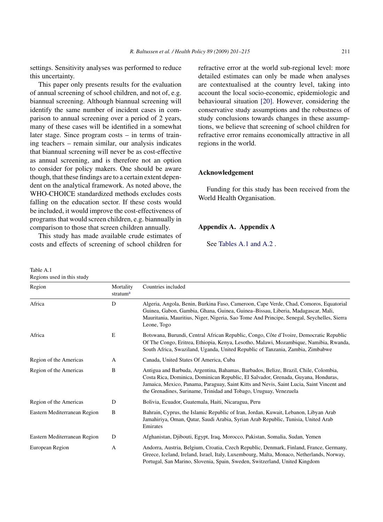<span id="page-10-0"></span>settings. Sensitivity analyses was performed to reduce this uncertainty.

This paper only presents results for the evaluation of annual screening of school children, and not of, e.g. biannual screening. Although biannual screening will identify the same number of incident cases in comparison to annual screening over a period of 2 years, many of these cases will be identified in a somewhat later stage. Since program costs – in terms of training teachers – remain similar, our analysis indicates that biannual screening will never be as cost-effective as annual screening, and is therefore not an option to consider for policy makers. One should be aware though, that these findings are to a certain extent dependent on the analytical framework. As noted above, the WHO-CHOICE standardized methods excludes costs falling on the education sector. If these costs would be included, it would improve the cost-effectiveness of programs that would screen children, e.g. biannually in comparison to those that screen children annually.

This study has made available crude estimates of costs and effects of screening of school children for

Table A.1 Regions used in this study refractive error at the world sub-regional level: more detailed estimates can only be made when analyses are contextualised at the country level, taking into account the local socio-economic, epidemiologic and behavioural situation [\[20\].](#page-13-0) However, considering the conservative study assumptions and the robustness of study conclusions towards changes in these assumptions, we believe that screening of school children for refractive error remains economically attractive in all regions in the world.

## **Acknowledgement**

Funding for this study has been received from the World Health Organisation.

## **Appendix A. Appendix A**

See Tables A.1 and A.2 .

| $\tilde{\phantom{a}}$        |                                   |                                                                                                                                                                                                                                                                                                                                           |
|------------------------------|-----------------------------------|-------------------------------------------------------------------------------------------------------------------------------------------------------------------------------------------------------------------------------------------------------------------------------------------------------------------------------------------|
| Region                       | Mortality<br>stratum <sup>a</sup> | Countries included                                                                                                                                                                                                                                                                                                                        |
| Africa                       | D                                 | Algeria, Angola, Benin, Burkina Faso, Cameroon, Cape Verde, Chad, Comoros, Equatorial<br>Guinea, Gabon, Gambia, Ghana, Guinea, Guinea–Bissau, Liberia, Madagascar, Mali,<br>Mauritania, Mauritius, Niger, Nigeria, Sao Tome And Principe, Senegal, Seychelles, Sierra<br>Leone, Togo                                                      |
| Africa                       | E                                 | Botswana, Burundi, Central African Republic, Congo, Côte d'Ivoire, Democratic Republic<br>Of The Congo, Eritrea, Ethiopia, Kenya, Lesotho, Malawi, Mozambique, Namibia, Rwanda,<br>South Africa, Swaziland, Uganda, United Republic of Tanzania, Zambia, Zimbabwe                                                                         |
| Region of the Americas       | A                                 | Canada, United States Of America, Cuba                                                                                                                                                                                                                                                                                                    |
| Region of the Americas       | B                                 | Antigua and Barbuda, Argentina, Bahamas, Barbados, Belize, Brazil, Chile, Colombia,<br>Costa Rica, Dominica, Dominican Republic, El Salvador, Grenada, Guyana, Honduras,<br>Jamaica, Mexico, Panama, Paraguay, Saint Kitts and Nevis, Saint Lucia, Saint Vincent and<br>the Grenadines, Suriname, Trinidad and Tobago, Uruguay, Venezuela |
| Region of the Americas       | D                                 | Bolivia, Ecuador, Guatemala, Haiti, Nicaragua, Peru                                                                                                                                                                                                                                                                                       |
| Eastern Mediterranean Region | B                                 | Bahrain, Cyprus, the Islamic Republic of Iran, Jordan, Kuwait, Lebanon, Libyan Arab<br>Jamahiriya, Oman, Qatar, Saudi Arabia, Syrian Arab Republic, Tunisia, United Arab<br>Emirates                                                                                                                                                      |
| Eastern Mediterranean Region | D                                 | Afghanistan, Djibouti, Egypt, Iraq, Morocco, Pakistan, Somalia, Sudan, Yemen                                                                                                                                                                                                                                                              |
| European Region              | A                                 | Andorra, Austria, Belgium, Croatia, Czech Republic, Denmark, Finland, France, Germany,<br>Greece, Iceland, Ireland, Israel, Italy, Luxembourg, Malta, Monaco, Netherlands, Norway,<br>Portugal, San Marino, Slovenia, Spain, Sweden, Switzerland, United Kingdom                                                                          |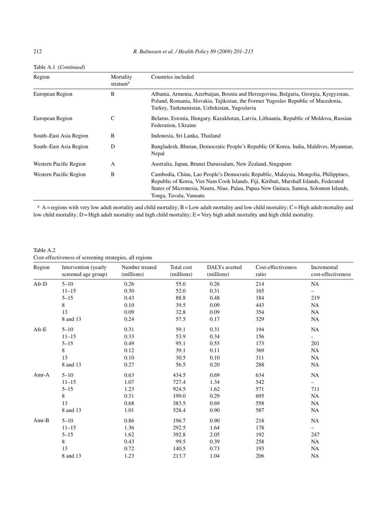| Region                 | Mortality<br>stratum <sup>a</sup> | Countries included                                                                                                                                                                                                                                                                            |
|------------------------|-----------------------------------|-----------------------------------------------------------------------------------------------------------------------------------------------------------------------------------------------------------------------------------------------------------------------------------------------|
| European Region        | B                                 | Albania, Armenia, Azerbaijan, Bosnia and Herzegovina, Bulgaria, Georgia, Kyrgyzstan,<br>Poland, Romania, Slovakia, Tajikistan, the Former Yugoslav Republic of Macedonia,<br>Turkey, Turkmenistan, Uzbekistan, Yugoslavia                                                                     |
| European Region        | C                                 | Belarus, Estonia, Hungary, Kazakhstan, Latvia, Lithuania, Republic of Moldova, Russian<br>Federation, Ukraine                                                                                                                                                                                 |
| South-East Asia Region | B                                 | Indonesia, Sri Lanka, Thailand                                                                                                                                                                                                                                                                |
| South-East Asia Region | D                                 | Bangladesh, Bhutan, Democratic People's Republic Of Korea, India, Maldives, Myanmar,<br>Nepal                                                                                                                                                                                                 |
| Western Pacific Region | А                                 | Australia, Japan, Brunei Darussalam, New Zealand, Singapore                                                                                                                                                                                                                                   |
| Western Pacific Region | B                                 | Cambodia, China, Lao People's Democratic Republic, Malaysia, Mongolia, Philippines,<br>Republic of Korea, Viet Nam Cook Islands, Fiji, Kiribati, Marshall Islands, Federated<br>States of Micronesia, Nauru, Niue, Palau, Papua New Guinea, Samoa, Solomon Islands,<br>Tonga, Tuvalu, Vanuatu |

<span id="page-11-0"></span>Table A.1 (*Continued*)

 $^a$  A = regions with very low adult mortality and child mortality; B = Low adult mortality and low child mortality; C = High adult mortality and low child mortality; D = High adult mortality and high child mortality; E = Very high adult mortality and high child mortality.

Table A.2 Cost-effectiveness of screening strategies, all regions

| Region  | Intervention (yearly<br>screened age group) | Number treated<br>(millions) | Total cost<br>(millions) | DALYs averted<br>(millions) | Cost-effectiveness<br>ratio | Incremental<br>cost-effectiveness |
|---------|---------------------------------------------|------------------------------|--------------------------|-----------------------------|-----------------------------|-----------------------------------|
| Afr-D   | $5 - 10$                                    | 0.26                         | 55.6                     | 0.26                        | 214                         | <b>NA</b>                         |
|         | $11 - 15$                                   | 0.30                         | 52.0                     | 0.31                        | 165                         | -                                 |
|         | $5 - 15$                                    | 0.43                         | 88.8                     | 0.48                        | 184                         | 219                               |
|         | 8                                           | 0.10                         | 39.5                     | 0.09                        | 443                         | <b>NA</b>                         |
|         | 13                                          | 0.09                         | 32.8                     | 0.09                        | 354                         | <b>NA</b>                         |
|         | 8 and 13                                    | 0.24                         | 57.5                     | 0.17                        | 329                         | <b>NA</b>                         |
| Afr-E   | $5 - 10$                                    | 0.31                         | 59.1                     | 0.31                        | 194                         | NA                                |
|         | $11 - 15$                                   | 0.33                         | 53.9                     | 0.34                        | 156                         | $\overline{\phantom{0}}$          |
|         | $5 - 15$                                    | 0.49                         | 95.1                     | 0.55                        | 173                         | 201                               |
|         | 8                                           | 0.12                         | 39.1                     | 0.11                        | 369                         | <b>NA</b>                         |
|         | 13                                          | 0.10                         | 30.5                     | 0.10                        | 311                         | NA                                |
|         | 8 and 13                                    | 0.27                         | 56.5                     | 0.20                        | 288                         | NA                                |
| Amr-A   | $5 - 10$                                    | 0.63                         | 434.5                    | 0.69                        | 634                         | NA                                |
|         | $11 - 15$                                   | 1.07                         | 727.4                    | 1.34                        | 542                         | $\overline{\phantom{0}}$          |
|         | $5 - 15$                                    | 1.23                         | 924.5                    | 1.62                        | 571                         | 711                               |
|         | 8                                           | 0.31                         | 199.0                    | 0.29                        | 695                         | NA                                |
|         | 13                                          | 0.68                         | 383.5                    | 0.69                        | 558                         | NA                                |
|         | 8 and 13                                    | 1.01                         | 528.4                    | 0.90                        | 587                         | NA                                |
| $Amr-B$ | $5 - 10$                                    | 0.86                         | 196.7                    | 0.90                        | 218                         | <b>NA</b>                         |
|         | $11 - 15$                                   | 1.36                         | 292.5                    | 1.64                        | 178                         | $\overline{\phantom{0}}$          |
|         | $5 - 15$                                    | 1.62                         | 392.8                    | 2.05                        | 192                         | 247                               |
|         | 8                                           | 0.43                         | 99.5                     | 0.39                        | 258                         | <b>NA</b>                         |
|         | 13                                          | 0.72                         | 140.5                    | 0.73                        | 193                         | NA                                |
|         | 8 and 13                                    | 1.23                         | 213.7                    | 1.04                        | 206                         | <b>NA</b>                         |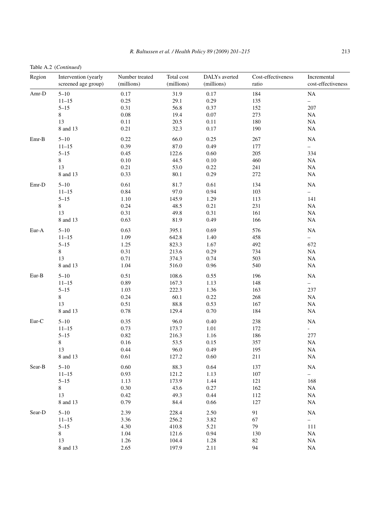Table A.2 (*Continued*)

| Region  | Intervention (yearly<br>screened age group) | Number treated<br>(millions) | Total cost<br>(millions) | DALYs averted<br>(millions) | Cost-effectiveness<br>ratio | Incremental<br>cost-effectiveness |
|---------|---------------------------------------------|------------------------------|--------------------------|-----------------------------|-----------------------------|-----------------------------------|
| Amr-D   | $5 - 10$                                    | 0.17                         | 31.9                     | 0.17                        | 184                         | $\rm NA$                          |
|         | $11 - 15$                                   | 0.25                         | 29.1                     | 0.29                        | 135                         | $\overline{\phantom{0}}$          |
|         | $5 - 15$                                    | 0.31                         | 56.8                     | 0.37                        | 152                         | 207                               |
|         | 8                                           | $0.08\,$                     | 19.4                     | $0.07\,$                    | 273                         | $\rm NA$                          |
|         | 13                                          | 0.11                         | 20.5                     | 0.11                        | 180                         | NA                                |
|         | 8 and 13                                    | 0.21                         | 32.3                     | 0.17                        | 190                         | NA                                |
| $Emr-B$ | $5 - 10$                                    | 0.22                         | 66.0                     | 0.25                        | 267                         | NA                                |
|         | $11 - 15$                                   | 0.39                         | 87.0                     | 0.49                        | 177                         | $\overline{\phantom{0}}$          |
|         | $5 - 15$                                    | 0.45                         | 122.6                    | 0.60                        | 205                         | 334                               |
|         | 8                                           | 0.10                         | 44.5                     | $0.10\,$                    | 460                         | NA                                |
|         | 13                                          | 0.21                         | 53.0                     | 0.22                        | 241                         | NA                                |
|         | 8 and 13                                    | 0.33                         | 80.1                     | 0.29                        | 272                         | NA                                |
| Emr-D   | $5 - 10$                                    | 0.61                         | 81.7                     | 0.61                        | 134                         | NA                                |
|         | $11 - 15$                                   | 0.84                         | 97.0                     | 0.94                        | 103                         | $-$                               |
|         | $5 - 15$                                    | 1.10                         | 145.9                    | 1.29                        | 113                         | 141                               |
|         | 8                                           | 0.24                         | 48.5                     | 0.21                        | 231                         | NA                                |
|         | 13                                          | 0.31                         | 49.8                     | 0.31                        | 161                         | NA                                |
|         | 8 and 13                                    | 0.63                         | 81.9                     | 0.49                        | 166                         | NA                                |
| $Eur-A$ | $5 - 10$                                    | 0.63                         | 395.1                    | 0.69                        | 576                         | NA                                |
|         | $11 - 15$                                   | 1.09                         | 642.8                    | 1.40                        | 458                         | $-$                               |
|         | $5 - 15$                                    | 1.25                         | 823.3                    | 1.67                        | 492                         | 672                               |
|         | 8                                           | 0.31                         | 213.6                    | 0.29                        | 734                         | NA                                |
|         | 13                                          | 0.71                         | 374.3                    | 0.74                        | 503                         | $\rm NA$                          |
|         | 8 and 13                                    | 1.04                         | 516.0                    | 0.96                        | 540                         | $\rm NA$                          |
| Eur-B   | $5 - 10$                                    | 0.51                         | 108.6                    | 0.55                        | 196                         | $\rm NA$                          |
|         | $11 - 15$                                   | 0.89                         | 167.3                    | 1.13                        | 148                         | $\overline{\phantom{0}}$          |
|         | $5 - 15$                                    | 1.03                         | 222.3                    | 1.36                        | 163                         | 237                               |
|         | 8                                           | 0.24                         | 60.1                     | 0.22                        | 268                         | NA                                |
|         | 13                                          | 0.51                         | 88.8                     | 0.53                        | 167                         | NA                                |
|         | 8 and 13                                    | 0.78                         | 129.4                    | 0.70                        | 184                         | NA                                |
| $Eur-C$ | $5 - 10$                                    | 0.35                         | 96.0                     | 0.40                        | 238                         | $\rm NA$                          |
|         | $11 - 15$                                   | 0.73                         | 173.7                    | 1.01                        | 172                         | $\mathbb{Z}^{\mathbb{Z}}$         |
|         | $5 - 15$                                    | 0.82                         | 216.3                    | 1.16                        | 186                         | 277                               |
|         | $\,8\,$                                     | 0.16                         | 53.5                     | 0.15                        | 357                         | $\rm NA$                          |
|         | 13                                          | 0.44                         | 96.0                     | 0.49                        | 195                         | NA                                |
|         | 8 and 13                                    | 0.61                         | 127.2                    | 0.60                        | 211                         | NA                                |
| Sear-B  | $5 - 10$                                    | 0.60                         | 88.3                     | 0.64                        | 137                         | $\rm NA$                          |
|         | $11 - 15$                                   | 0.93                         | 121.2                    | 1.13                        | 107                         | $\overline{\phantom{0}}$          |
|         | $5 - 15$                                    | 1.13                         | 173.9                    | 1.44                        | 121                         | 168                               |
|         | $\,8\,$                                     | 0.30                         | 43.6                     | 0.27                        | 162                         | $\rm NA$                          |
|         | 13                                          | 0.42                         | 49.3                     | 0.44                        | 112                         | $\rm NA$                          |
|         | 8 and 13                                    | 0.79                         | 84.4                     | 0.66                        | 127                         | $\rm NA$                          |
| Sear-D  | $5 - 10$                                    | 2.39                         | 228.4                    | $2.50\,$                    | 91                          | NA                                |
|         | $11 - 15$                                   | 3.36                         | 256.2                    | 3.82                        | 67                          | $\equiv$                          |
|         | $5 - 15$                                    | 4.30                         | 410.8                    | 5.21                        | 79                          | 111                               |
|         | 8                                           | 1.04                         | 121.6                    | 0.94                        | 130                         | NA                                |
|         | 13                                          | 1.26                         | 104.4                    | 1.28                        | 82                          | $\rm NA$                          |
|         |                                             |                              |                          |                             |                             |                                   |
|         | 8 and 13                                    | 2.65                         | 197.9                    | 2.11                        | 94                          | $\rm NA$                          |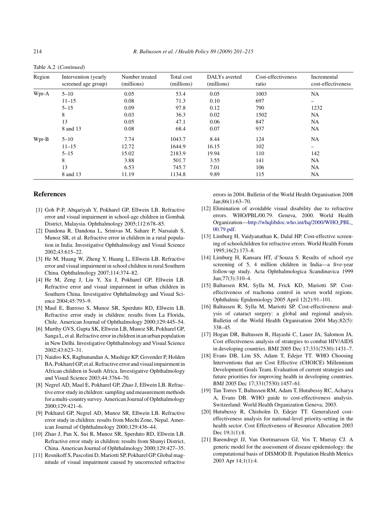<span id="page-13-0"></span>

|  | Table A.2 (Continued) |
|--|-----------------------|
|--|-----------------------|

| Region | Intervention (yearly<br>screened age group) | Number treated<br>(millions) | Total cost<br>(millions) | DALYs averted<br>(millions) | Cost-effectiveness<br>ratio | Incremental<br>cost-effectiveness |
|--------|---------------------------------------------|------------------------------|--------------------------|-----------------------------|-----------------------------|-----------------------------------|
| Wpr-A  | $5 - 10$                                    | 0.05                         | 53.4                     | 0.05                        | 1003                        | NA                                |
|        | $11 - 15$                                   | 0.08                         | 71.3                     | 0.10                        | 697                         | $\overline{\phantom{0}}$          |
|        | $5 - 15$                                    | 0.09                         | 97.8                     | 0.12                        | 790                         | 1232                              |
|        | 8                                           | 0.03                         | 36.3                     | 0.02                        | 1502                        | <b>NA</b>                         |
|        | 13                                          | 0.05                         | 47.1                     | 0.06                        | 847                         | NA                                |
|        | 8 and 13                                    | 0.08                         | 68.4                     | 0.07                        | 937                         | NA                                |
| Wpr-B  | $5 - 10$                                    | 7.74                         | 1043.7                   | 8.44                        | 124                         | NA                                |
|        | $11 - 15$                                   | 12.72                        | 1644.9                   | 16.15                       | 102                         | $\overline{\phantom{0}}$          |
|        | $5 - 15$                                    | 15.02                        | 2183.9                   | 19.94                       | 110                         | 142                               |
|        | 8                                           | 3.88                         | 501.7                    | 3.55                        | 141                         | NA                                |
|        | 13                                          | 6.53                         | 745.7                    | 7.01                        | 106                         | NA                                |
|        | 8 and 13                                    | 11.19                        | 1134.8                   | 9.89                        | 115                         | NA                                |

### **References**

- [1] Goh P-P, Abqariyah Y, Pokharel GP, Ellwein LB. Refractive error and visual impairment in school-age children in Gombak District, Malaysia. Ophthalmology 2005;112:678–85.
- [2] Dandona R, Dandona L, Srinivas M, Sahare P, Narsaiah S, Munoz SR, et al. Refractive error in children in a rural population in India. Investigative Ophthalmology and Visual Science 2002;43:615–22.
- [3] He M, Huang W, Zheng Y, Huang L, Ellwein LB. Refractive error and visual impairment in school children in rural Southern China. Ophthalmology 2007;114:374–82.
- [4] He M, Zeng J, Liu Y, Xu J, Pokharel GP, Ellwein LB. Refractive error and visual impairment in urban children in Southern China. Investigative Ophthalmology and Visual Science 2004;45:793–9.
- [5] Maul E, Barroso S, Munoz SR, Sperduto RD, Ellwein LB. Refractive error study in children: results from La Florida, Chile. American Journal of Ophthalmology 2000;129:445–54.
- [6] Murthy GVS, Gupta SK, Ellwein LB, Munoz SR, Pokharel GP, Sanga L, et al. Refractive error in children in an urban population in New Delhi. Investigative Ophthalmology and Visual Science 2002;43:623–31.
- [7] Naidoo KS, Raghunandan A, Mashige KP, Govender P, Holden BA, Pokharel GP, et al. Refractive error and visual impairment in African children in South Africa. Investigative Ophthalmology and Visual Science 2003;44:3764–70.
- [8] Negrel AD, Maul E, Pokharel GP, Zhao J, Ellwein LB. Refractive error study in children: sampling and measurement methods for a multi-country survey. American Journal of Ophthalmology 2000;129:421–6.
- [9] Pokharel GP, Negrel AD, Munoz SR, Ellwein LB. Refractive error study in children: results from Mechi Zone, Nepal. American Journal of Ophthalmology 2000;129:436–44.
- [10] Zhao J, Pan X, Sui R, Munoz SR, Sperduto RD, Ellwein LB. Refractive error study in children: results from Shunyi District, China. American Journal of Ophthalmology 2000;129:427–35.
- [11] Resnikoff S, Pascolini D, Mariotti SP, Pokharel GP. Global magnitude of visual impairment caused by uncorrected refractive

errors in 2004. Bulletin of the World Health Organisation 2008 Jan;86(1):63–70.

- [12] Elimination of avoidable visual disability due to refractive errors. WHO/PBL/00.79. Geneva, 2000. World Health Organization[—http://whqlibdoc.who.int/hq/2000/WHO](http://whqlibdoc.who.int/hq/2000/WHO_PBL_00.79.pdf) PBL [00.79.pdf](http://whqlibdoc.who.int/hq/2000/WHO_PBL_00.79.pdf).
- [13] Limburg H, Vaidyanathan K, Dalal HP. Cost-effective screening of schoolchildren for refractive errors. World Health Forum 1995;16(2):173–8.
- [14] Limburg H, Kansara HT, d'Souza S. Results of school eye screening of 5, 4 million children in India—a five-year follow-up study. Acta Ophthalmologica Scandinavica 1999 Jun;77(3):310–4.
- [15] Baltussen RM, Sylla M, Frick KD, Mariotti SP. Costeffectiveness of trachoma control in seven world regions. Ophthalmic Epidemiology 2005 April 12(2):91–101.
- [16] Baltussen R, Sylla M, Mariotti SP. Cost-effectiveness analysis of cataract surgery: a global and regional analysis. Bulletin of the World Health Organisation 2004 May;82(5): 338–45.
- [17] Hogan DR, Baltussen R, Hayashi C, Lauer JA, Salomon JA. Cost effectiveness analysis of strategies to combat HIV/AIDS in developing countries. BMJ 2005 Dec 17;331(7530):1431–7.
- [18] Evans DB, Lim SS, Adam T, Edejer TT. WHO Choosing Interventions that are Cost Effective (CHOICE) Millennium Development Goals Team. Evaluation of current strategies and future priorities for improving health in developing countries. BMJ 2005 Dec 17;331(7530):1457–61.
- [19] Tan Torres T, Baltussen RM, Adam T, Hutubessy RC, Acharya A, Evans DB. WHO guide to cost-effectiveness analysis. Switzerland: World Health Organization Geneva; 2003.
- [20] Hutubessy R, Chisholm D, Edejer TT. Generalized costeffectiveness analysis for national-level priority-setting in the health sector. Cost Effectiveness of Resource Allocation 2003 Dec 19;1(1):8.
- [21] Barendregt JJ, Van Oortmarssen GJ, Vos T, Murray CJ. A generic model for the assessment of disease epidemiology: the computational basis of DISMOD II. Population Health Metrics 2003 Apr 14;1(1):4.